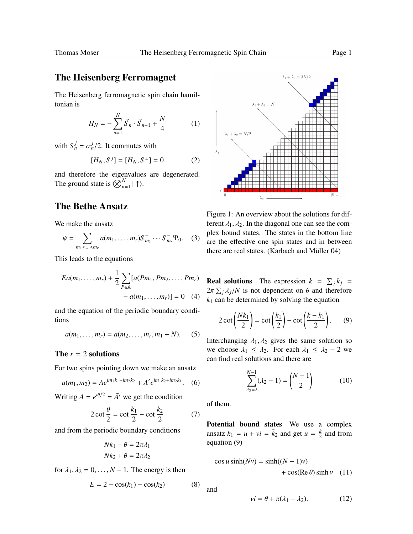# The Heisenberg Ferromagnet

The Heisenberg ferromagnetic spin chain hamiltonian is

$$
H_N = -\sum_{n=1}^N \vec{S}_n \cdot \vec{S}_{n+1} + \frac{N}{4}
$$
 (1)

with  $S_n^j = \sigma_n^j/2$ . It commutes with

$$
[H_N, S^j] = [H_N, S^{\pm}] = 0 \tag{2}
$$

and therefore the eigenvalues are degenerated. The ground state is  $\bigotimes_{n=1}^{N} | \uparrow \rangle$ .

# The Bethe Ansatz

We make the ansatz

$$
\psi = \sum_{m_1 < \ldots < m_r} a(m_1, \ldots, m_r) S_{m_1}^- \cdots S_{m_r}^- \Psi_0. \quad (3)
$$

This leads to the equations

$$
Ea(m_1,...,m_r) + \frac{1}{2} \sum_{P \in \mathbb{A}} [a(Pm_1, Pm_2,..., Pm_r) - a(m_1,...,m_r)] = 0 \quad (4)
$$

and the equation of the periodic boundary conditions

$$
a(m_1, ..., m_r) = a(m_2, ..., m_r, m_1 + N). \tag{5}
$$

## The  $r = 2$  solutions

For two spins pointing down we make an ansatz

$$
a(m_1, m_2) = A e^{im_1 k_1 + im_2 k_2} + A' e^{im_1 k_2 + im_2 k_1}.
$$
 (6)

Writing  $A = e^{i\theta/2} = \overline{A}$ <sup> $\prime$ </sup> we get the condition

$$
2 \cot \frac{\theta}{2} = \cot \frac{k_1}{2} - \cot \frac{k_2}{2} \tag{7}
$$

and from the periodic boundary conditions

$$
Nk_1 - \theta = 2\pi \lambda_1
$$
  

$$
Nk_2 + \theta = 2\pi \lambda_2
$$

for  $\lambda_1, \lambda_2 = 0, \ldots, N - 1$ . The energy is then

$$
E = 2 - \cos(k_1) - \cos(k_2)
$$
 (8)



Figure 1: An overview about the solutions for different  $\lambda_1, \lambda_2$ . In the diagonal one can see the complex bound states. The states in the bottom line are the effective one spin states and in between there are real states. (Karbach and Müller  $04$ )

**Real solutions** The expression  $k = \sum_j k_j$  $2\pi \sum_j \lambda_j/N$  is not dependent on  $\theta$  and therefore  $k_1$  can be determined by solving the equation

$$
2 \cot\left(\frac{Nk_1}{2}\right) = \cot\left(\frac{k_1}{2}\right) - \cot\left(\frac{k-k_1}{2}\right). \tag{9}
$$

Interchanging  $\lambda_1, \lambda_2$  gives the same solution so we choose  $\lambda_1 \leq \lambda_2$ . For each  $\lambda_1 \leq \lambda_2 - 2$  we can find real solutions and there are

*N*

$$
\sum_{\lambda_2=2}^{N-1} (\lambda_2 - 1) = \binom{N-1}{2} \tag{10}
$$

of them.

Potential bound states We use a complex ansatz  $k_1 = u + vi = \bar{k}_2$  and get  $u = \frac{k}{2}$  $\frac{k}{2}$  and from equation (9)

$$
\cos u \sinh(Nv) = \sinh((N-1)v) \n+ \cos(\text{Re}\,\theta) \sinh v \quad (11)
$$

and

$$
vi = \theta + \pi(\lambda_1 - \lambda_2). \tag{12}
$$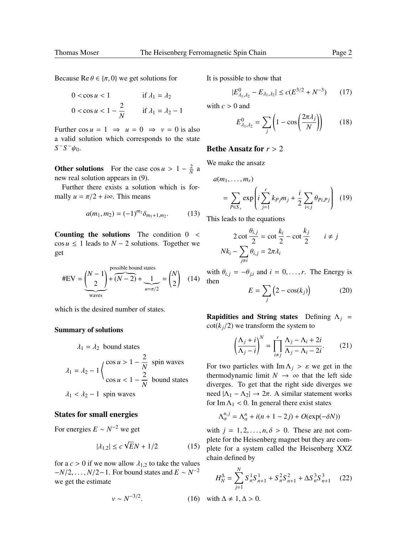Because Re  $\theta \in {\pi, 0}$  we get solutions for

$$
0 < \cos u < 1 \qquad \text{if } \lambda_1 = \lambda_2
$$
  
 
$$
0 < \cos u < 1 - \frac{2}{N} \qquad \text{if } \lambda_1 = \lambda_2 - 1
$$

Further  $\cos u = 1 \implies u = 0 \implies v = 0$  is also a valid solution which corresponds to the state  $S^-S^- \psi_0$ .

Other solutions For the case  $\cos u > 1 - \frac{2}{N}$  a new real solution appears in (9).

Further there exists a solution which is formally  $u = \pi/2 + i\infty$ . This means

$$
a(m_1, m_2) = (-1)^{m_1} \delta_{m_1+1, m_2}.
$$
 (13)

Counting the solutions The condition  $0 <$  $\cos u \leq 1$  leads to  $N - 2$  solutions. Together we get

$$
\text{HEV} = \underbrace{\binom{N-1}{2}}_{\text{waves}} + \underbrace{\binom{\text{possible bound states}}{N-2}}_{\text{max/2}} + \underbrace{1}_{\text{max/2}} = \binom{N}{2} \quad (14)
$$

which is the desired number of states.

#### Summary of solutions

$$
\lambda_1 = \lambda_2 \text{ bound states}
$$
\n
$$
\lambda_1 = \lambda_2 - 1 \begin{cases} \cos u > 1 - \frac{2}{N} \\ \cos u < 1 - \frac{2}{N} \end{cases} \text{ spin waves}
$$
\n
$$
\lambda_1 < \lambda_2 - 1 \text{ spin waves}
$$

#### States for small energies

For energies  $E \sim N^{-2}$  we get

$$
|\lambda_{1,2}| \le c\sqrt{E}N + 1/2\tag{15}
$$

for a  $c > 0$  if we now allow  $\lambda_{1,2}$  to take the values  $-V/2, \ldots, N/2-1$ . For bound states and  $E \sim N^{-2}$ <br>we get the estimate we get the estimate

$$
v \sim N^{-3/2}.\tag{16}
$$

It is possible to show that

$$
|E_{\lambda_1,\lambda_2}^0 - E_{\lambda_1,\lambda_2}| \le c(E^{3/2} + N^{-3}) \qquad (17)
$$

with  $c > 0$  and

$$
E_{\lambda_1,\lambda_2}^0 = \sum_j \left( 1 - \cos\left(\frac{2\pi\lambda_j}{N}\right) \right) \tag{18}
$$

### Bethe Ansatz for  $r > 2$

We make the ansatz

$$
a(m_1, \dots, m_r)
$$
  
= 
$$
\sum_{P \in S_r} \exp\left(i \sum_{j=1}^r k_{Pj} m_j + \frac{i}{2} \sum_{i < j} \theta_{Pi, Pj}\right) (19)
$$

This leads to the equations

$$
2 \cot \frac{\theta_{i,j}}{2} = \cot \frac{k_i}{2} - \cot \frac{k_j}{2} \qquad i \neq j
$$
  

$$
Nk_i - \sum_{j \neq i} \theta_{i,j} = 2\pi \lambda_i
$$

with  $\theta_{i,j} = -\theta_{j,i}$  and  $i = 0, \ldots, r$ . The Energy is then

$$
E = \sum_{j} \left( 2 - \cos(k_j) \right) \tag{20}
$$

**Rapidities and String states** Defining  $\Lambda_i$  =  $cot(k_i/2)$  we transform the system to

$$
\left(\frac{\Lambda_j + i}{\Lambda_j - i}\right)^N = \prod_{i \neq j}^r \frac{\Lambda_j - \Lambda_i + 2i}{\Lambda_j - \Lambda_i - 2i}.
$$
 (21)

For two particles with  $\text{Im }\Lambda_i > \varepsilon$  we get in the thermodynamic limit  $N \rightarrow \infty$  that the left side diverges. To get that the right side diverges we need  $|Λ_1 - Λ_2|$  →  $2π$ . A similar statement works for Im  $\Lambda_1$  < 0. In general there exist states

$$
\Lambda_{\alpha}^{n,j} = \Lambda_{\alpha}^{n} + i(n+1-2j) + O(\exp(-\delta N))
$$

with  $j = 1, 2, \ldots, n, \delta > 0$ . These are not complete for the Heisenberg magnet but they are complete for a system called the Heisenberg XXZ chain defined by

$$
H_N^{\Delta} = \sum_{j=1}^{N} S_n^1 S_{n+1}^1 + S_n^2 S_{n+1}^2 + \Delta S_n^3 S_{n+1}^3 \tag{22}
$$

 $h \Delta \neq 1, \Delta > 0.$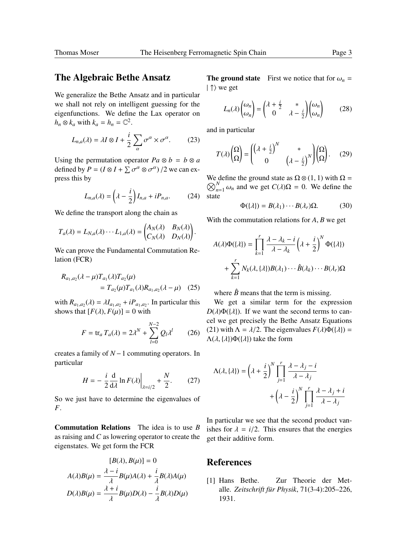## The Algebraic Bethe Ansatz

We generalize the Bethe Ansatz and in particular we shall not rely on intelligent guessing for the eigenfunctions. We define the Lax operator on  $h_n \otimes k_a$  with  $k_a = h_n = \mathbb{C}^2$ .

$$
L_{n,a}(\lambda) = \lambda I \otimes I + \frac{i}{2} \sum_{\alpha} \sigma^{\alpha} \times \sigma^{\alpha}.
$$
 (23)

Using the permutation operator  $Pa \otimes b = b \otimes a$ defined by  $P = (I \otimes I + \sum$  $\sigma^{\alpha} \otimes \sigma^{\alpha}$  /2 we can express this by

$$
L_{n,a}(\lambda) = \left(\lambda - \frac{i}{2}\right)I_{n,a} + iP_{n,a}.\tag{24}
$$

We define the transport along the chain as

$$
T_a(\lambda) = L_{N,a}(\lambda) \cdots L_{1,a}(\lambda) = \begin{pmatrix} A_N(\lambda) & B_N(\lambda) \\ C_N(\lambda) & D_N(\lambda) \end{pmatrix}.
$$

We can prove the Fundamental Commutation Relation (FCR)

$$
R_{a_1, a_2}(\lambda - \mu) T_{a_1}(\lambda) T_{a_2}(\mu)
$$
  
=  $T_{a_2}(\mu) T_{a_1}(\lambda) R_{a_1, a_2}(\lambda - \mu)$  (25)

with  $R_{a_1,a_2}(\lambda) = \lambda I_{a_1,a_2} + iP_{a_1,a_2}$ . In particular this shows that  $[F(\lambda) \mid F(\mu)] = 0$  with shows that  $[F(\lambda), F(\mu)] = 0$  with

$$
F = \text{tr}_a T_a(\lambda) = 2\lambda^N + \sum_{l=0}^{N-2} Q_l \lambda^l \qquad (26)
$$

creates a family of *N* −1 commuting operators. In particular

$$
H = -\frac{i}{2}\frac{\mathrm{d}}{\mathrm{d}\lambda}\ln F(\lambda)\Big|_{\lambda = i/2} + \frac{N}{2}.\tag{27}
$$

So we just have to determine the eigenvalues of *F*.

Commutation Relations The idea is to use *B* as raising and *C* as lowering operator to create the eigenstates. We get form the FCR

$$
[B(\lambda), B(\mu)] = 0
$$

$$
A(\lambda)B(\mu) = \frac{\lambda - i}{\lambda}B(\mu)A(\lambda) + \frac{i}{\lambda}B(\lambda)A(\mu)
$$

$$
D(\lambda)B(\mu) = \frac{\lambda + i}{\lambda}B(\mu)D(\lambda) - \frac{i}{\lambda}B(\lambda)D(\mu)
$$

**The ground state** First we notice that for  $\omega_n =$  $| \uparrow \rangle$  we get

$$
L_n(\lambda) \begin{pmatrix} \omega_n \\ \omega_n \end{pmatrix} = \begin{pmatrix} \lambda + \frac{i}{2} & * \\ 0 & \lambda - \frac{i}{2} \end{pmatrix} \begin{pmatrix} \omega_n \\ \omega_n \end{pmatrix}
$$
 (28)

and in particular

$$
T(\lambda) \begin{pmatrix} \Omega \\ \Omega \end{pmatrix} = \begin{pmatrix} \left(\lambda + \frac{i}{2}\right)^N & * \\ 0 & \left(\lambda - \frac{i}{2}\right)^N \end{pmatrix} \begin{pmatrix} \Omega \\ \Omega \end{pmatrix}.\tag{29}
$$

We define the ground state as  $\Omega \otimes (1, 1)$  with  $\Omega = \bigotimes^{N}$  (a) and we get  $C(1) \Omega = 0$ . We define the  $\bigotimes_{n=1}^{N} \omega_n$  and we get  $C(\lambda)\Omega = 0$ . We define the state

$$
\Phi(\{\lambda\}) = B(\lambda_1) \cdots B(\lambda_r) \Omega. \tag{30}
$$

With the commutation relations for *<sup>A</sup>*, *<sup>B</sup>* we get

$$
A(\lambda)\Phi(\{\lambda\}) = \prod_{k=1}^r \frac{\lambda - \lambda_k - i}{\lambda - \lambda_k} \left(\lambda + \frac{i}{2}\right)^N \Phi(\{\lambda\})
$$

$$
+ \sum_{k=1}^r N_k(\lambda, \{\lambda\}) B(\lambda_1) \cdots \hat{B}(\lambda_k) \cdots B(\lambda_r) \Omega
$$

where  $\hat{B}$  means that the term is missing.

We get a similar term for the expression  $D(\lambda)\Phi({\lambda})$ . If we want the second terms to cancel we get precisely the Bethe Ansatz Equations (21) with  $\Lambda = \lambda/2$ . The eigenvalues  $F(\lambda)\Phi({\lambda}) =$  $\Lambda(\lambda, {\lambda})\Phi({\lambda})$  take the form

$$
\Lambda(\lambda, \{\lambda\}) = \left(\lambda + \frac{i}{2}\right)^N \prod_{j=1}^r \frac{\lambda - \lambda_j - i}{\lambda - \lambda_j} + \left(\lambda - \frac{i}{2}\right)^N \prod_{j=1}^r \frac{\lambda - \lambda_j + i}{\lambda - \lambda_j}
$$

In particular we see that the second product vanishes for  $\lambda = i/2$ . This ensures that the energies get their additive form.

## References

[1] Hans Bethe. Zur Theorie der Metalle. *Zeitschrift für Physik*, 71(3-4):205–226, 1931.